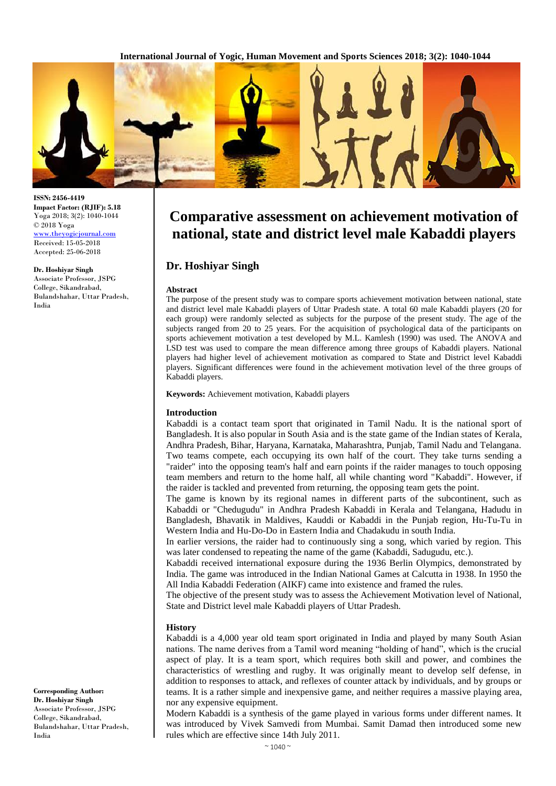**International Journal of Yogic, Human Movement and Sports Sciences 2018; 3(2): 1040-1044**



**Comparative assessment on achievement motivation of national, state and district level male Kabaddi players**

## **Dr. Hoshiyar Singh**

#### **Abstract**

The purpose of the present study was to compare sports achievement motivation between national, state and district level male Kabaddi players of Uttar Pradesh state. A total 60 male Kabaddi players (20 for each group) were randomly selected as subjects for the purpose of the present study. The age of the subjects ranged from 20 to 25 years. For the acquisition of psychological data of the participants on sports achievement motivation a test developed by M.L. Kamlesh (1990) was used. The ANOVA and LSD test was used to compare the mean difference among three groups of Kabaddi players. National players had higher level of achievement motivation as compared to State and District level Kabaddi players. Significant differences were found in the achievement motivation level of the three groups of Kabaddi players.

**Keywords:** Achievement motivation, Kabaddi players

#### **Introduction**

Kabaddi is a contact team sport that originated in Tamil Nadu. It is the national sport of Bangladesh. It is also popular in South Asia and is the state game of the Indian states of Kerala, Andhra Pradesh, Bihar, Haryana, Karnataka, Maharashtra, Punjab, Tamil Nadu and Telangana. Two teams compete, each occupying its own half of the court. They take turns sending a "raider" into the opposing team's half and earn points if the raider manages to touch opposing team members and return to the home half, all while chanting word "Kabaddi". However, if the raider is tackled and prevented from returning, the opposing team gets the point.

The game is known by its regional names in different parts of the subcontinent, such as Kabaddi or "Chedugudu" in Andhra Pradesh Kabaddi in Kerala and Telangana, Hadudu in Bangladesh, Bhavatik in Maldives, Kauddi or Kabaddi in the Punjab region, Hu-Tu-Tu in Western India and Hu-Do-Do in Eastern India and Chadakudu in south India.

In earlier versions, the raider had to continuously sing a song, which varied by region. This was later condensed to repeating the name of the game (Kabaddi, Sadugudu, etc.).

Kabaddi received international exposure during the 1936 Berlin Olympics, demonstrated by India. The game was introduced in the Indian National Games at Calcutta in 1938. In 1950 the All India Kabaddi Federation (AIKF) came into existence and framed the rules.

The objective of the present study was to assess the Achievement Motivation level of National, State and District level male Kabaddi players of Uttar Pradesh.

#### **History**

Kabaddi is a 4,000 year old team sport originated in India and played by many South Asian nations. The name derives from a Tamil word meaning "holding of hand", which is the crucial aspect of play. It is a team sport, which requires both skill and power, and combines the characteristics of wrestling and rugby. It was originally meant to develop self defense, in addition to responses to attack, and reflexes of counter attack by individuals, and by groups or teams. It is a rather simple and inexpensive game, and neither requires a massive playing area, nor any expensive equipment.

Modern Kabaddi is a synthesis of the game played in various forms under different names. It was introduced by Vivek Samvedi from Mumbai. Samit Damad then introduced some new rules which are effective since 14th July 2011.

**ISSN: 2456-4419 Impact Factor: (RJIF): 5.18** Yoga 2018; 3(2): 1040-1044 © 2018 Yoga [www.theyogicjournal.com](http://www.theyogicjournal.com/) Received: 15-05-2018 Accepted: 25-06-2018

**Dr. Hoshiyar Singh**

Associate Professor, JSPG College, Sikandrabad, Bulandshahar, Uttar Pradesh, India

**Corresponding Author: Dr. Hoshiyar Singh** Associate Professor, JSPG College, Sikandrabad, Bulandshahar, Uttar Pradesh, India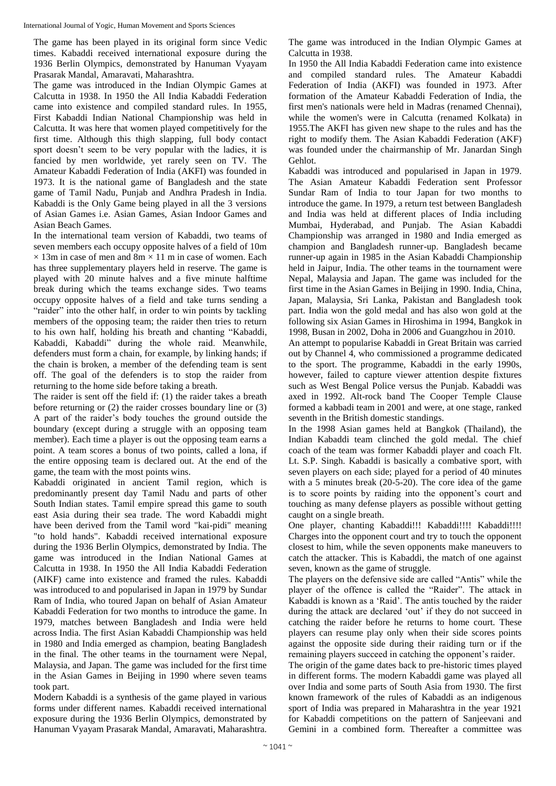The game has been played in its original form since Vedic times. Kabaddi received international exposure during the 1936 Berlin Olympics, demonstrated by Hanuman Vyayam Prasarak Mandal, Amaravati, Maharashtra.

The game was introduced in the Indian Olympic Games at Calcutta in 1938. In 1950 the All India Kabaddi Federation came into existence and compiled standard rules. In 1955, First Kabaddi Indian National Championship was held in Calcutta. It was here that women played competitively for the first time. Although this thigh slapping, full body contact sport doesn't seem to be very popular with the ladies, it is fancied by men worldwide, yet rarely seen on TV. The Amateur Kabaddi Federation of India (AKFI) was founded in 1973. It is the national game of Bangladesh and the state game of Tamil Nadu, Punjab and Andhra Pradesh in India. Kabaddi is the Only Game being played in all the 3 versions of Asian Games i.e. Asian Games, Asian Indoor Games and Asian Beach Games.

In the international team version of Kabaddi, two teams of seven members each occupy opposite halves of a field of 10m  $\times$  13m in case of men and 8m  $\times$  11 m in case of women. Each has three supplementary players held in reserve. The game is played with 20 minute halves and a five minute halftime break during which the teams exchange sides. Two teams occupy opposite halves of a field and take turns sending a "raider" into the other half, in order to win points by tackling members of the opposing team; the raider then tries to return to his own half, holding his breath and chanting "Kabaddi, Kabaddi, Kabaddi" during the whole raid. Meanwhile, defenders must form a chain, for example, by linking hands; if the chain is broken, a member of the defending team is sent off. The goal of the defenders is to stop the raider from returning to the home side before taking a breath.

The raider is sent off the field if: (1) the raider takes a breath before returning or (2) the raider crosses boundary line or (3) A part of the raider's body touches the ground outside the boundary (except during a struggle with an opposing team member). Each time a player is out the opposing team earns a point. A team scores a bonus of two points, called a lona, if the entire opposing team is declared out. At the end of the game, the team with the most points wins.

Kabaddi originated in ancient Tamil region, which is predominantly present day Tamil Nadu and parts of other South Indian states. Tamil empire spread this game to south east Asia during their sea trade. The word Kabaddi might have been derived from the Tamil word "kai-pidi" meaning "to hold hands". Kabaddi received international exposure during the 1936 Berlin Olympics, demonstrated by India. The game was introduced in the Indian National Games at Calcutta in 1938. In 1950 the All India Kabaddi Federation (AIKF) came into existence and framed the rules. Kabaddi was introduced to and popularised in Japan in 1979 by Sundar Ram of India, who toured Japan on behalf of Asian Amateur Kabaddi Federation for two months to introduce the game. In 1979, matches between Bangladesh and India were held across India. The first Asian Kabaddi Championship was held in 1980 and India emerged as champion, beating Bangladesh in the final. The other teams in the tournament were Nepal, Malaysia, and Japan. The game was included for the first time in the Asian Games in Beijing in 1990 where seven teams took part.

Modern Kabaddi is a synthesis of the game played in various forms under different names. Kabaddi received international exposure during the 1936 Berlin Olympics, demonstrated by Hanuman Vyayam Prasarak Mandal, Amaravati, Maharashtra.

The game was introduced in the Indian Olympic Games at Calcutta in 1938.

In 1950 the All India Kabaddi Federation came into existence and compiled standard rules. The Amateur Kabaddi Federation of India (AKFI) was founded in 1973. After formation of the Amateur Kabaddi Federation of India, the first men's nationals were held in Madras (renamed Chennai), while the women's were in Calcutta (renamed Kolkata) in 1955.The AKFI has given new shape to the rules and has the right to modify them. The Asian Kabaddi Federation (AKF) was founded under the chairmanship of Mr. Janardan Singh Gehlot.

Kabaddi was introduced and popularised in Japan in 1979. The Asian Amateur Kabaddi Federation sent Professor Sundar Ram of India to tour Japan for two months to introduce the game. In 1979, a return test between Bangladesh and India was held at different places of India including Mumbai, Hyderabad, and Punjab. The Asian Kabaddi Championship was arranged in 1980 and India emerged as champion and Bangladesh runner-up. Bangladesh became runner-up again in 1985 in the Asian Kabaddi Championship held in Jaipur, India. The other teams in the tournament were Nepal, Malaysia and Japan. The game was included for the first time in the Asian Games in Beijing in 1990. India, China, Japan, Malaysia, Sri Lanka, Pakistan and Bangladesh took part. India won the gold medal and has also won gold at the following six Asian Games in Hiroshima in 1994, Bangkok in 1998, Busan in 2002, Doha in 2006 and Guangzhou in 2010.

An attempt to popularise Kabaddi in Great Britain was carried out by Channel 4, who commissioned a programme dedicated to the sport. The programme, Kabaddi in the early 1990s, however, failed to capture viewer attention despite fixtures such as West Bengal Police versus the Punjab. Kabaddi was axed in 1992. Alt-rock band The Cooper Temple Clause formed a kabbadi team in 2001 and were, at one stage, ranked seventh in the British domestic standings.

In the 1998 Asian games held at Bangkok (Thailand), the Indian Kabaddi team clinched the gold medal. The chief coach of the team was former Kabaddi player and coach Flt. Lt. S.P. Singh. Kabaddi is basically a combative sport, with seven players on each side; played for a period of 40 minutes with a 5 minutes break (20-5-20). The core idea of the game is to score points by raiding into the opponent's court and touching as many defense players as possible without getting caught on a single breath.

One player, chanting Kabaddi!!! Kabaddi!!!! Kabaddi!!!! Charges into the opponent court and try to touch the opponent closest to him, while the seven opponents make maneuvers to catch the attacker. This is Kabaddi, the match of one against seven, known as the game of struggle.

The players on the defensive side are called "Antis" while the player of the offence is called the "Raider". The attack in Kabaddi is known as a 'Raid'. The antis touched by the raider during the attack are declared 'out' if they do not succeed in catching the raider before he returns to home court. These players can resume play only when their side scores points against the opposite side during their raiding turn or if the remaining players succeed in catching the opponent's raider.

The origin of the game dates back to pre-historic times played in different forms. The modern Kabaddi game was played all over India and some parts of South Asia from 1930. The first known framework of the rules of Kabaddi as an indigenous sport of India was prepared in Maharashtra in the year 1921 for Kabaddi competitions on the pattern of Sanjeevani and Gemini in a combined form. Thereafter a committee was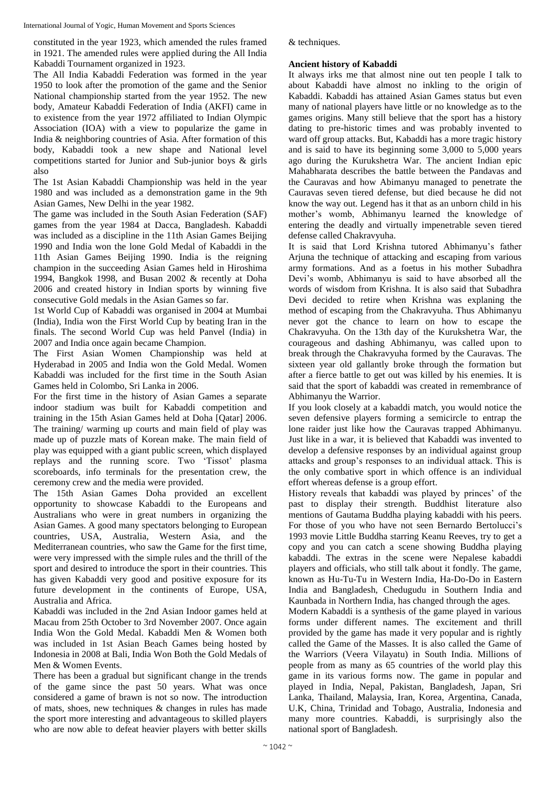constituted in the year 1923, which amended the rules framed in 1921. The amended rules were applied during the All India Kabaddi Tournament organized in 1923.

The All India Kabaddi Federation was formed in the year 1950 to look after the promotion of the game and the Senior National championship started from the year 1952. The new body, Amateur Kabaddi Federation of India (AKFI) came in to existence from the year 1972 affiliated to Indian Olympic Association (IOA) with a view to popularize the game in India & neighboring countries of Asia. After formation of this body, Kabaddi took a new shape and National level competitions started for Junior and Sub-junior boys & girls also

The 1st Asian Kabaddi Championship was held in the year 1980 and was included as a demonstration game in the 9th Asian Games, New Delhi in the year 1982.

The game was included in the South Asian Federation (SAF) games from the year 1984 at Dacca, Bangladesh. Kabaddi was included as a discipline in the 11th Asian Games Beijing 1990 and India won the lone Gold Medal of Kabaddi in the 11th Asian Games Beijing 1990. India is the reigning champion in the succeeding Asian Games held in Hiroshima 1994, Bangkok 1998, and Busan 2002 & recently at Doha 2006 and created history in Indian sports by winning five consecutive Gold medals in the Asian Games so far.

1st World Cup of Kabaddi was organised in 2004 at Mumbai (India), India won the First World Cup by beating Iran in the finals. The second World Cup was held Panvel (India) in 2007 and India once again became Champion.

The First Asian Women Championship was held at Hyderabad in 2005 and India won the Gold Medal. Women Kabaddi was included for the first time in the South Asian Games held in Colombo, Sri Lanka in 2006.

For the first time in the history of Asian Games a separate indoor stadium was built for Kabaddi competition and training in the 15th Asian Games held at Doha [Qatar] 2006. The training/ warming up courts and main field of play was made up of puzzle mats of Korean make. The main field of play was equipped with a giant public screen, which displayed replays and the running score. Two 'Tissot' plasma scoreboards, info terminals for the presentation crew, the ceremony crew and the media were provided.

The 15th Asian Games Doha provided an excellent opportunity to showcase Kabaddi to the Europeans and Australians who were in great numbers in organizing the Asian Games. A good many spectators belonging to European countries, USA, Australia, Western Asia, and the Mediterranean countries, who saw the Game for the first time, were very impressed with the simple rules and the thrill of the sport and desired to introduce the sport in their countries. This has given Kabaddi very good and positive exposure for its future development in the continents of Europe, USA, Australia and Africa.

Kabaddi was included in the 2nd Asian Indoor games held at Macau from 25th October to 3rd November 2007. Once again India Won the Gold Medal. Kabaddi Men & Women both was included in 1st Asian Beach Games being hosted by Indonesia in 2008 at Bali, India Won Both the Gold Medals of Men & Women Events.

There has been a gradual but significant change in the trends of the game since the past 50 years. What was once considered a game of brawn is not so now. The introduction of mats, shoes, new techniques & changes in rules has made the sport more interesting and advantageous to skilled players who are now able to defeat heavier players with better skills & techniques.

## **Ancient history of Kabaddi**

It always irks me that almost nine out ten people I talk to about Kabaddi have almost no inkling to the origin of Kabaddi. Kabaddi has attained Asian Games status but even many of national players have little or no knowledge as to the games origins. Many still believe that the sport has a history dating to pre-historic times and was probably invented to ward off group attacks. But, Kabaddi has a more tragic history and is said to have its beginning some 3,000 to 5,000 years ago during the Kurukshetra War. The ancient Indian epic Mahabharata describes the battle between the Pandavas and the Cauravas and how Abimanyu managed to penetrate the Cauravas seven tiered defense, but died because he did not know the way out. Legend has it that as an unborn child in his mother's womb, Abhimanyu learned the knowledge of entering the deadly and virtually impenetrable seven tiered defense called Chakravyuha.

It is said that Lord Krishna tutored Abhimanyu's father Arjuna the technique of attacking and escaping from various army formations. And as a foetus in his mother Subadhra Devi's womb, Abhimanyu is said to have absorbed all the words of wisdom from Krishna. It is also said that Subadhra Devi decided to retire when Krishna was explaning the method of escaping from the Chakravyuha. Thus Abhimanyu never got the chance to learn on how to escape the Chakravyuha. On the 13th day of the Kurukshetra War, the courageous and dashing Abhimanyu, was called upon to break through the Chakravyuha formed by the Cauravas. The sixteen year old gallantly broke through the formation but after a fierce battle to get out was killed by his enemies. It is said that the sport of kabaddi was created in remembrance of Abhimanyu the Warrior.

If you look closely at a kabaddi match, you would notice the seven defensive players forming a semicircle to entrap the lone raider just like how the Cauravas trapped Abhimanyu. Just like in a war, it is believed that Kabaddi was invented to develop a defensive responses by an individual against group attacks and group's responses to an individual attack. This is the only combative sport in which offence is an individual effort whereas defense is a group effort.

History reveals that kabaddi was played by princes' of the past to display their strength. Buddhist literature also mentions of Gautama Buddha playing kabaddi with his peers. For those of you who have not seen Bernardo Bertolucci's 1993 movie Little Buddha starring Keanu Reeves, try to get a copy and you can catch a scene showing Buddha playing kabaddi. The extras in the scene were Nepalese kabaddi players and officials, who still talk about it fondly. The game, known as Hu-Tu-Tu in Western India, Ha-Do-Do in Eastern India and Bangladesh, Chedugudu in Southern India and Kaunbada in Northern India, has changed through the ages.

Modern Kabaddi is a synthesis of the game played in various forms under different names. The excitement and thrill provided by the game has made it very popular and is rightly called the Game of the Masses. It is also called the Game of the Warriors (Veera Vilayatu) in South India. Millions of people from as many as 65 countries of the world play this game in its various forms now. The game in popular and played in India, Nepal, Pakistan, Bangladesh, Japan, Sri Lanka, Thailand, Malaysia, Iran, Korea, Argentina, Canada, U.K, China, Trinidad and Tobago, Australia, Indonesia and many more countries. Kabaddi, is surprisingly also the national sport of Bangladesh.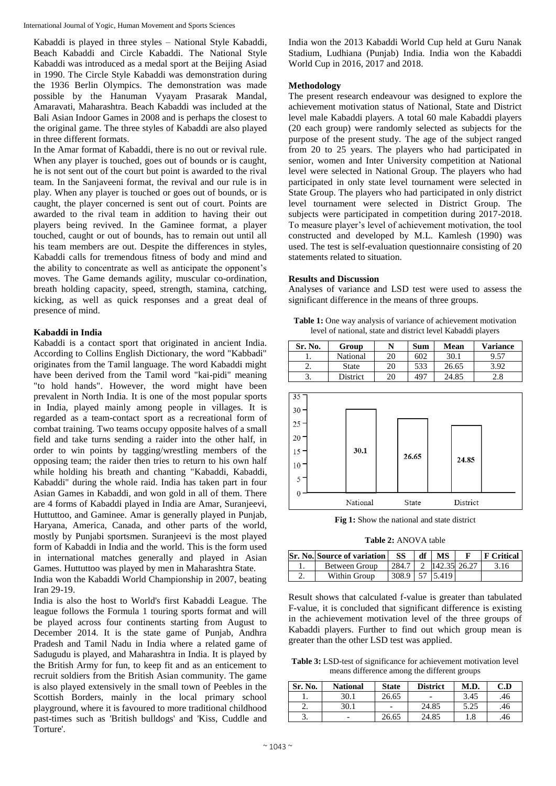Kabaddi is played in three styles – National Style Kabaddi, Beach Kabaddi and Circle Kabaddi. The National Style Kabaddi was introduced as a medal sport at the Beijing Asiad in 1990. The Circle Style Kabaddi was demonstration during the 1936 Berlin Olympics. The demonstration was made possible by the Hanuman Vyayam Prasarak Mandal, Amaravati, Maharashtra. Beach Kabaddi was included at the Bali Asian Indoor Games in 2008 and is perhaps the closest to the original game. The three styles of Kabaddi are also played in three different formats.

In the Amar format of Kabaddi, there is no out or revival rule. When any player is touched, goes out of bounds or is caught, he is not sent out of the court but point is awarded to the rival team. In the Sanjaveeni format, the revival and our rule is in play. When any player is touched or goes out of bounds, or is caught, the player concerned is sent out of court. Points are awarded to the rival team in addition to having their out players being revived. In the Gaminee format, a player touched, caught or out of bounds, has to remain out until all his team members are out. Despite the differences in styles, Kabaddi calls for tremendous fitness of body and mind and the ability to concentrate as well as anticipate the opponent's moves. The Game demands agility, muscular co-ordination, breath holding capacity, speed, strength, stamina, catching, kicking, as well as quick responses and a great deal of presence of mind.

## **Kabaddi in India**

Kabaddi is a contact sport that originated in ancient India. According to Collins English Dictionary, the word "Kabbadi" originates from the Tamil language. The word Kabaddi might have been derived from the Tamil word "kai-pidi" meaning "to hold hands". However, the word might have been prevalent in North India. It is one of the most popular sports in India, played mainly among people in villages. It is regarded as a team-contact sport as a recreational form of combat training. Two teams occupy opposite halves of a small field and take turns sending a raider into the other half, in order to win points by tagging/wrestling members of the opposing team; the raider then tries to return to his own half while holding his breath and chanting "Kabaddi, Kabaddi, Kabaddi" during the whole raid. India has taken part in four Asian Games in Kabaddi, and won gold in all of them. There are 4 forms of Kabaddi played in India are Amar, Suranjeevi, Huttuttoo, and Gaminee. Amar is generally played in Punjab, Haryana, America, Canada, and other parts of the world, mostly by Punjabi sportsmen. Suranjeevi is the most played form of Kabaddi in India and the world. This is the form used in international matches generally and played in Asian Games. Huttuttoo was played by men in Maharashtra State.

India won the Kabaddi World Championship in 2007, beating Iran 29-19.

India is also the host to World's first Kabaddi League. The league follows the Formula 1 touring sports format and will be played across four continents starting from August to December 2014. It is the state game of Punjab, Andhra Pradesh and Tamil Nadu in India where a related game of Sadugudu is played, and Maharashtra in India. It is played by the British Army for fun, to keep fit and as an enticement to recruit soldiers from the British Asian community. The game is also played extensively in the small town of Peebles in the Scottish Borders, mainly in the local primary school playground, where it is favoured to more traditional childhood past-times such as 'British bulldogs' and 'Kiss, Cuddle and Torture'.

India won the 2013 Kabaddi World Cup held at Guru Nanak Stadium, Ludhiana (Punjab) India. India won the Kabaddi World Cup in 2016, 2017 and 2018.

### **Methodology**

The present research endeavour was designed to explore the achievement motivation status of National, State and District level male Kabaddi players. A total 60 male Kabaddi players (20 each group) were randomly selected as subjects for the purpose of the present study. The age of the subject ranged from 20 to 25 years. The players who had participated in senior, women and Inter University competition at National level were selected in National Group. The players who had participated in only state level tournament were selected in State Group. The players who had participated in only district level tournament were selected in District Group. The subjects were participated in competition during 2017-2018. To measure player's level of achievement motivation, the tool constructed and developed by M.L. Kamlesh (1990) was used. The test is self-evaluation questionnaire consisting of 20 statements related to situation.

### **Results and Discussion**

Analyses of variance and LSD test were used to assess the significant difference in the means of three groups.

**Table 1:** One way analysis of variance of achievement motivation level of national, state and district level Kabaddi players

| Sr. No. | Group    |    | Sum             | <b>Mean</b> | <b>Variance</b> |
|---------|----------|----|-----------------|-------------|-----------------|
|         | National | 20 | 602             | 30.1        | 9.57            |
| ـ.      | State    | 20 | 533             | 26.65       | 3.92            |
| C.      | District | 20 | 49 <sup>7</sup> | 24.85       | 2.8             |



**Fig 1:** Show the national and state district

**Table 2:** ANOVA table

|    | <b>Sr. No. Source of variation</b> | SS    | MS           | <b>IF</b> Critical |
|----|------------------------------------|-------|--------------|--------------------|
|    | <b>Between Group</b>               | 284.7 | 142.35 26.27 | 3.16               |
| ـ. | Within Group                       | 308.9 | 5.419        |                    |

Result shows that calculated f-value is greater than tabulated F-value, it is concluded that significant difference is existing in the achievement motivation level of the three groups of Kabaddi players. Further to find out which group mean is greater than the other LSD test was applied.

**Table 3:** LSD-test of significance for achievement motivation level means difference among the different groups

| Sr. No. | <b>National</b> | <b>State</b> | <b>District</b> | M.D. | C.D |
|---------|-----------------|--------------|-----------------|------|-----|
| ı.      | 30.1            | 26.65        |                 | 3.45 | .46 |
| ـ.      | 30.1            |              | 24.85           | 5.25 | .46 |
| J.      |                 | 26.65        | 24.85           | 1.8  | .46 |